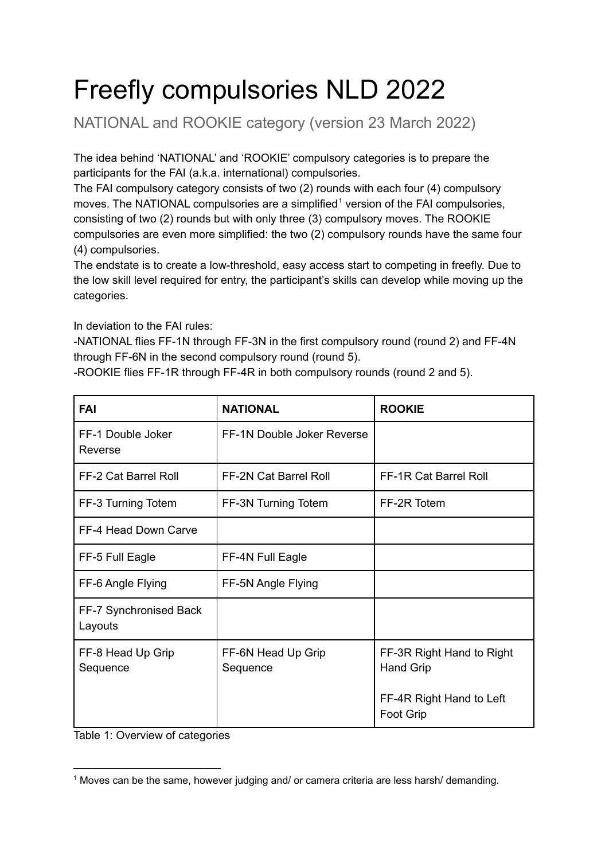## Freefly compulsories NLD 2022

NATIONAL and ROOKIE category (version 23 March 2022)

The idea behind 'NATIONAL' and 'ROOKIE' compulsory categories is to prepare the participants for the FAI (a.k.a. international) compulsories.

The FAI compulsory category consists of two (2) rounds with each four (4) compulsory moves. The NATIONAL compulsories are a simplified<sup>1</sup> version of the FAI compulsories, consisting of two (2) rounds but with only three (3) compulsory moves. The ROOKIE compulsories are even more simplified: the two (2) compulsory rounds have the same four (4) compulsories.

The endstate is to create a low-threshold, easy access start to competing in freefly. Due to the low skill level required for entry, the participant's skills can develop while moving up the categories.

In deviation to the FAI rules:

-NATIONAL flies FF-1N through FF-3N in the first compulsory round (round 2) and FF-4N through FF-6N in the second compulsory round (round 5).

-ROOKIE flies FF-1R through FF-4R in both compulsory rounds (round 2 and 5).

| <b>FAI</b>                        | <b>NATIONAL</b>                | <b>ROOKIE</b>                                 |
|-----------------------------------|--------------------------------|-----------------------------------------------|
| FF-1 Double Joker<br>Reverse      | FF-1N Double Joker Reverse     |                                               |
| FF-2 Cat Barrel Roll              | <b>FF-2N Cat Barrel Roll</b>   | <b>FF-1R Cat Barrel Roll</b>                  |
| FF-3 Turning Totem                | FF-3N Turning Totem            | FF-2R Totem                                   |
| FF-4 Head Down Carve              |                                |                                               |
| FF-5 Full Eagle                   | FF-4N Full Eagle               |                                               |
| FF-6 Angle Flying                 | FF-5N Angle Flying             |                                               |
| FF-7 Synchronised Back<br>Layouts |                                |                                               |
| FF-8 Head Up Grip<br>Sequence     | FF-6N Head Up Grip<br>Sequence | FF-3R Right Hand to Right<br><b>Hand Grip</b> |
|                                   |                                | FF-4R Right Hand to Left<br><b>Foot Grip</b>  |

Table 1: Overview of categories

<sup>&</sup>lt;sup>1</sup> Moves can be the same, however judging and/ or camera criteria are less harsh/ demanding.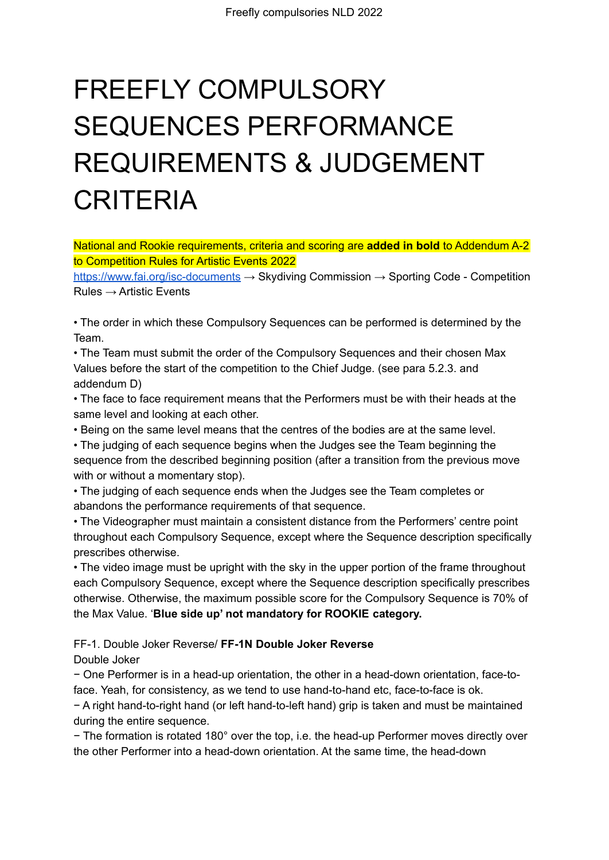# FREEFLY COMPULSORY SEQUENCES PERFORMANCE REQUIREMENTS & JUDGEMENT CRITERIA

National and Rookie requirements, criteria and scoring are **added in bold** to Addendum A-2 to Competition Rules for Artistic Events 2022

<https://www.fai.org/isc-documents> → Skydiving Commission → Sporting Code - Competition  $Rules \rightarrow$  Artistic Events

• The order in which these Compulsory Sequences can be performed is determined by the Team.

• The Team must submit the order of the Compulsory Sequences and their chosen Max Values before the start of the competition to the Chief Judge. (see para 5.2.3. and addendum D)

• The face to face requirement means that the Performers must be with their heads at the same level and looking at each other.

• Being on the same level means that the centres of the bodies are at the same level.

• The judging of each sequence begins when the Judges see the Team beginning the sequence from the described beginning position (after a transition from the previous move with or without a momentary stop).

• The judging of each sequence ends when the Judges see the Team completes or abandons the performance requirements of that sequence.

• The Videographer must maintain a consistent distance from the Performers' centre point throughout each Compulsory Sequence, except where the Sequence description specifically prescribes otherwise.

• The video image must be upright with the sky in the upper portion of the frame throughout each Compulsory Sequence, except where the Sequence description specifically prescribes otherwise. Otherwise, the maximum possible score for the Compulsory Sequence is 70% of the Max Value. '**Blue side up' not mandatory for ROOKIE category.**

FF-1. Double Joker Reverse/ **FF-1N Double Joker Reverse**

Double Joker

− One Performer is in a head-up orientation, the other in a head-down orientation, face-toface. Yeah, for consistency, as we tend to use hand-to-hand etc, face-to-face is ok.

− A right hand-to-right hand (or left hand-to-left hand) grip is taken and must be maintained during the entire sequence.

− The formation is rotated 180° over the top, i.e. the head-up Performer moves directly over the other Performer into a head-down orientation. At the same time, the head-down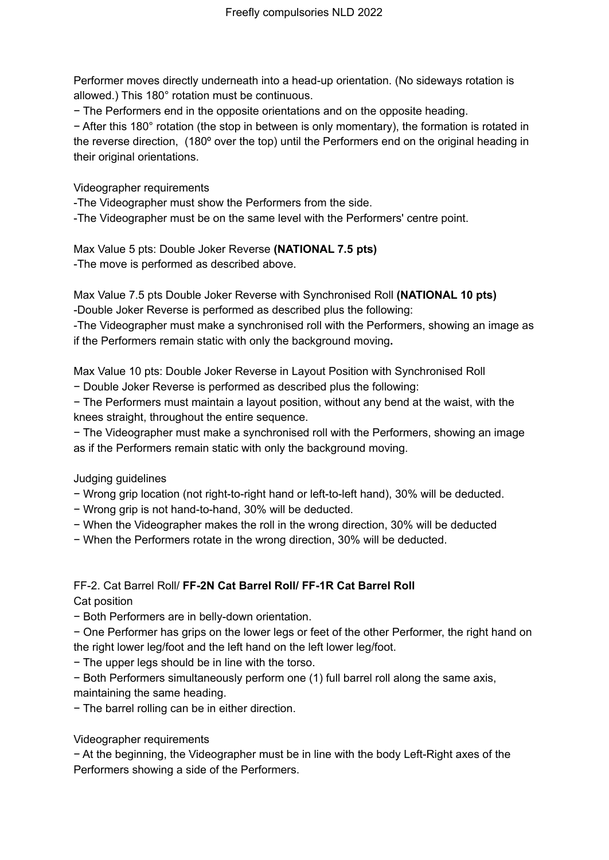Performer moves directly underneath into a head-up orientation. (No sideways rotation is allowed.) This 180° rotation must be continuous.

− The Performers end in the opposite orientations and on the opposite heading.

− After this 180° rotation (the stop in between is only momentary), the formation is rotated in the reverse direction, (180º over the top) until the Performers end on the original heading in their original orientations.

Videographer requirements

-The Videographer must show the Performers from the side.

-The Videographer must be on the same level with the Performers' centre point.

Max Value 5 pts: Double Joker Reverse **(NATIONAL 7.5 pts)** -The move is performed as described above.

Max Value 7.5 pts Double Joker Reverse with Synchronised Roll **(NATIONAL 10 pts)** -Double Joker Reverse is performed as described plus the following:

-The Videographer must make a synchronised roll with the Performers, showing an image as if the Performers remain static with only the background moving**.**

Max Value 10 pts: Double Joker Reverse in Layout Position with Synchronised Roll

− Double Joker Reverse is performed as described plus the following:

− The Performers must maintain a layout position, without any bend at the waist, with the knees straight, throughout the entire sequence.

− The Videographer must make a synchronised roll with the Performers, showing an image as if the Performers remain static with only the background moving.

Judging guidelines

− Wrong grip location (not right-to-right hand or left-to-left hand), 30% will be deducted.

- − Wrong grip is not hand-to-hand, 30% will be deducted.
- − When the Videographer makes the roll in the wrong direction, 30% will be deducted
- − When the Performers rotate in the wrong direction, 30% will be deducted.

### FF-2. Cat Barrel Roll/ **FF-2N Cat Barrel Roll/ FF-1R Cat Barrel Roll**

Cat position

− Both Performers are in belly-down orientation.

− One Performer has grips on the lower legs or feet of the other Performer, the right hand on the right lower leg/foot and the left hand on the left lower leg/foot.

− The upper legs should be in line with the torso.

− Both Performers simultaneously perform one (1) full barrel roll along the same axis, maintaining the same heading.

− The barrel rolling can be in either direction.

Videographer requirements

− At the beginning, the Videographer must be in line with the body Left-Right axes of the Performers showing a side of the Performers.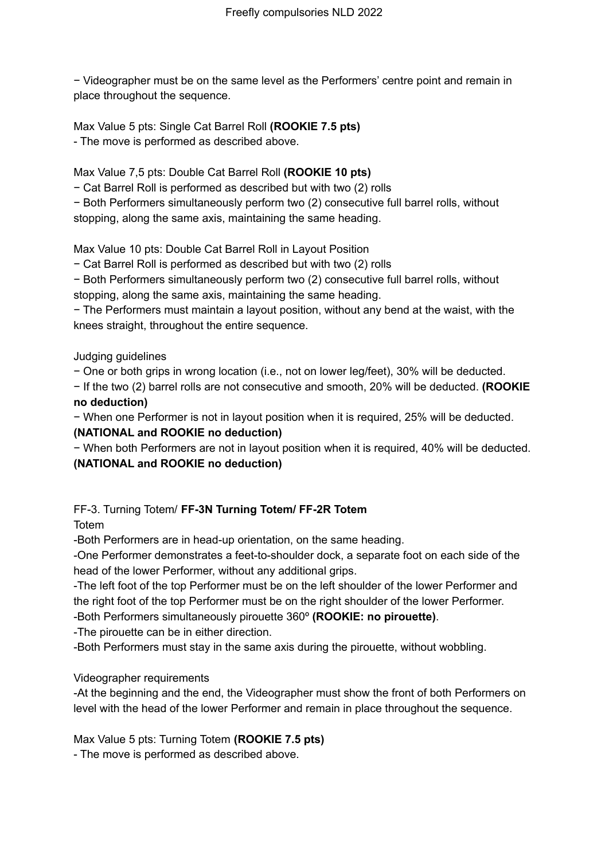− Videographer must be on the same level as the Performers' centre point and remain in place throughout the sequence.

Max Value 5 pts: Single Cat Barrel Roll **(ROOKIE 7.5 pts)** - The move is performed as described above.

Max Value 7,5 pts: Double Cat Barrel Roll **(ROOKIE 10 pts)**

− Cat Barrel Roll is performed as described but with two (2) rolls

− Both Performers simultaneously perform two (2) consecutive full barrel rolls, without stopping, along the same axis, maintaining the same heading.

Max Value 10 pts: Double Cat Barrel Roll in Layout Position

− Cat Barrel Roll is performed as described but with two (2) rolls

− Both Performers simultaneously perform two (2) consecutive full barrel rolls, without stopping, along the same axis, maintaining the same heading.

− The Performers must maintain a layout position, without any bend at the waist, with the knees straight, throughout the entire sequence.

Judging guidelines

− One or both grips in wrong location (i.e., not on lower leg/feet), 30% will be deducted.

− If the two (2) barrel rolls are not consecutive and smooth, 20% will be deducted. **(ROOKIE no deduction)**

− When one Performer is not in layout position when it is required, 25% will be deducted.

#### **(NATIONAL and ROOKIE no deduction)**

− When both Performers are not in layout position when it is required, 40% will be deducted.

#### **(NATIONAL and ROOKIE no deduction)**

#### FF-3. Turning Totem/ **FF-3N Turning Totem/ FF-2R Totem**

Totem

-Both Performers are in head-up orientation, on the same heading.

-One Performer demonstrates a feet-to-shoulder dock, a separate foot on each side of the head of the lower Performer, without any additional grips.

-The left foot of the top Performer must be on the left shoulder of the lower Performer and the right foot of the top Performer must be on the right shoulder of the lower Performer.

-Both Performers simultaneously pirouette 360º **(ROOKIE: no pirouette)**.

-The pirouette can be in either direction.

-Both Performers must stay in the same axis during the pirouette, without wobbling.

Videographer requirements

-At the beginning and the end, the Videographer must show the front of both Performers on level with the head of the lower Performer and remain in place throughout the sequence.

Max Value 5 pts: Turning Totem **(ROOKIE 7.5 pts)**

- The move is performed as described above.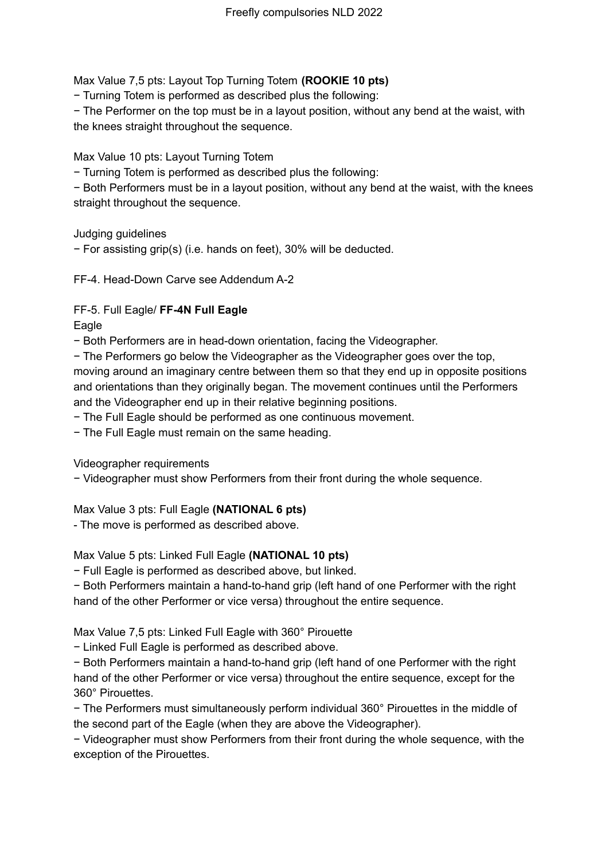Max Value 7,5 pts: Layout Top Turning Totem **(ROOKIE 10 pts)**

− Turning Totem is performed as described plus the following:

− The Performer on the top must be in a layout position, without any bend at the waist, with the knees straight throughout the sequence.

Max Value 10 pts: Layout Turning Totem

− Turning Totem is performed as described plus the following:

− Both Performers must be in a layout position, without any bend at the waist, with the knees straight throughout the sequence.

Judging guidelines

− For assisting grip(s) (i.e. hands on feet), 30% will be deducted.

FF-4. Head-Down Carve see Addendum A-2

FF-5. Full Eagle/ **FF-4N Full Eagle**

Eagle

− Both Performers are in head-down orientation, facing the Videographer.

− The Performers go below the Videographer as the Videographer goes over the top, moving around an imaginary centre between them so that they end up in opposite positions and orientations than they originally began. The movement continues until the Performers and the Videographer end up in their relative beginning positions.

− The Full Eagle should be performed as one continuous movement.

− The Full Eagle must remain on the same heading.

Videographer requirements

− Videographer must show Performers from their front during the whole sequence.

#### Max Value 3 pts: Full Eagle **(NATIONAL 6 pts)**

- The move is performed as described above.

Max Value 5 pts: Linked Full Eagle **(NATIONAL 10 pts)**

− Full Eagle is performed as described above, but linked.

− Both Performers maintain a hand-to-hand grip (left hand of one Performer with the right hand of the other Performer or vice versa) throughout the entire sequence.

Max Value 7,5 pts: Linked Full Eagle with 360° Pirouette

− Linked Full Eagle is performed as described above.

− Both Performers maintain a hand-to-hand grip (left hand of one Performer with the right hand of the other Performer or vice versa) throughout the entire sequence, except for the 360° Pirouettes.

− The Performers must simultaneously perform individual 360° Pirouettes in the middle of the second part of the Eagle (when they are above the Videographer).

− Videographer must show Performers from their front during the whole sequence, with the exception of the Pirouettes.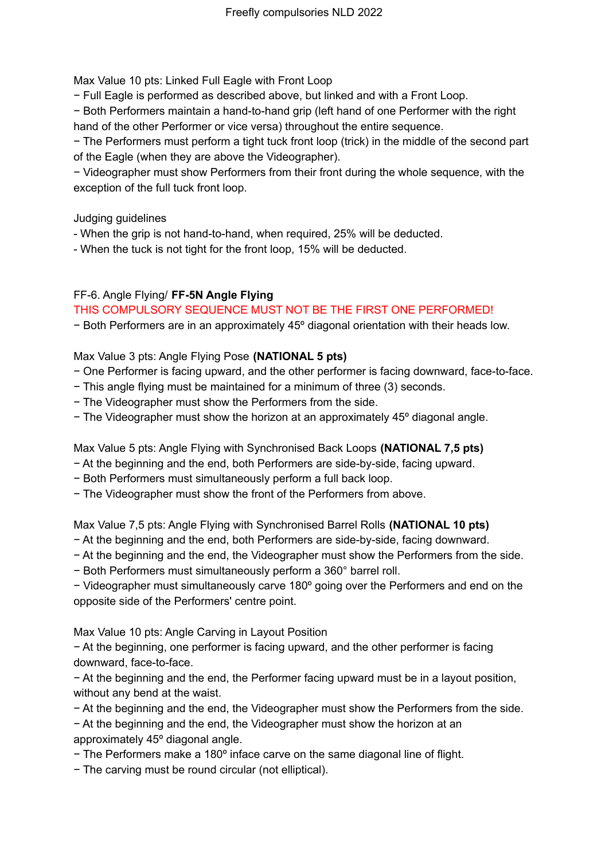Max Value 10 pts: Linked Full Eagle with Front Loop

− Full Eagle is performed as described above, but linked and with a Front Loop.

− Both Performers maintain a hand-to-hand grip (left hand of one Performer with the right hand of the other Performer or vice versa) throughout the entire sequence.

− The Performers must perform a tight tuck front loop (trick) in the middle of the second part of the Eagle (when they are above the Videographer).

− Videographer must show Performers from their front during the whole sequence, with the exception of the full tuck front loop.

Judging guidelines

- When the grip is not hand-to-hand, when required, 25% will be deducted.

- When the tuck is not tight for the front loop, 15% will be deducted.

#### FF-6. Angle Flying/ **FF-5N Angle Flying**

#### THIS COMPULSORY SEQUENCE MUST NOT BE THE FIRST ONE PERFORMED!

− Both Performers are in an approximately 45º diagonal orientation with their heads low.

#### Max Value 3 pts: Angle Flying Pose **(NATIONAL 5 pts)**

- − One Performer is facing upward, and the other performer is facing downward, face-to-face.
- − This angle flying must be maintained for a minimum of three (3) seconds.
- − The Videographer must show the Performers from the side.
- − The Videographer must show the horizon at an approximately 45º diagonal angle.

Max Value 5 pts: Angle Flying with Synchronised Back Loops **(NATIONAL 7,5 pts)**

- − At the beginning and the end, both Performers are side-by-side, facing upward.
- − Both Performers must simultaneously perform a full back loop.
- − The Videographer must show the front of the Performers from above.

Max Value 7,5 pts: Angle Flying with Synchronised Barrel Rolls **(NATIONAL 10 pts)**

- − At the beginning and the end, both Performers are side-by-side, facing downward.
- − At the beginning and the end, the Videographer must show the Performers from the side.
- − Both Performers must simultaneously perform a 360° barrel roll.

− Videographer must simultaneously carve 180º going over the Performers and end on the opposite side of the Performers' centre point.

Max Value 10 pts: Angle Carving in Layout Position

− At the beginning, one performer is facing upward, and the other performer is facing downward, face-to-face.

− At the beginning and the end, the Performer facing upward must be in a layout position, without any bend at the waist.

− At the beginning and the end, the Videographer must show the Performers from the side.

− At the beginning and the end, the Videographer must show the horizon at an approximately 45º diagonal angle.

- − The Performers make a 180º inface carve on the same diagonal line of flight.
- − The carving must be round circular (not elliptical).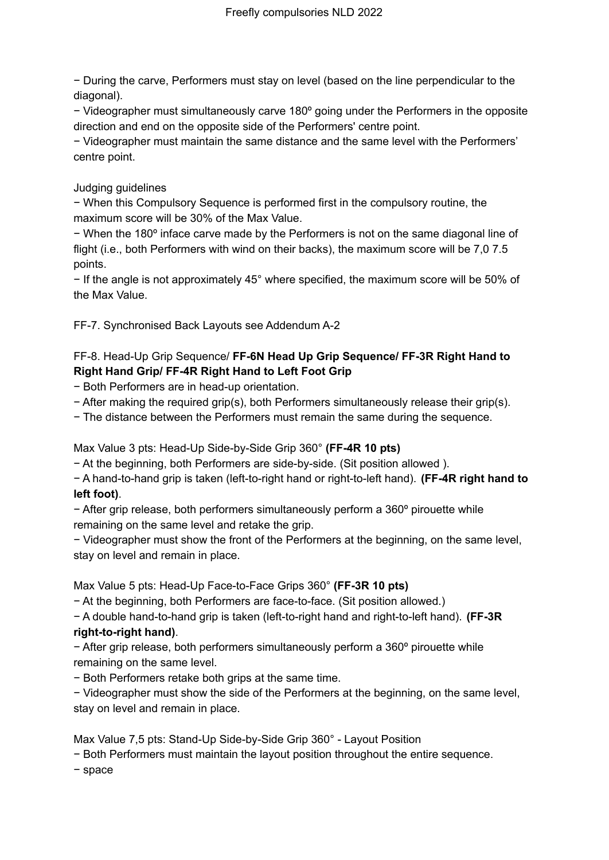− During the carve, Performers must stay on level (based on the line perpendicular to the diagonal).

− Videographer must simultaneously carve 180º going under the Performers in the opposite direction and end on the opposite side of the Performers' centre point.

− Videographer must maintain the same distance and the same level with the Performers' centre point.

#### Judging guidelines

− When this Compulsory Sequence is performed first in the compulsory routine, the maximum score will be 30% of the Max Value.

− When the 180º inface carve made by the Performers is not on the same diagonal line of flight (i.e., both Performers with wind on their backs), the maximum score will be 7,0 7.5 points.

− If the angle is not approximately 45° where specified, the maximum score will be 50% of the Max Value.

FF-7. Synchronised Back Layouts see Addendum A-2

#### FF-8. Head-Up Grip Sequence/ **FF-6N Head Up Grip Sequence/ FF-3R Right Hand to Right Hand Grip/ FF-4R Right Hand to Left Foot Grip**

− Both Performers are in head-up orientation.

− After making the required grip(s), both Performers simultaneously release their grip(s).

− The distance between the Performers must remain the same during the sequence.

Max Value 3 pts: Head-Up Side-by-Side Grip 360° **(FF-4R 10 pts)**

− At the beginning, both Performers are side-by-side. (Sit position allowed ).

− A hand-to-hand grip is taken (left-to-right hand or right-to-left hand). **(FF-4R right hand to left foot)**.

− After grip release, both performers simultaneously perform a 360º pirouette while remaining on the same level and retake the grip.

− Videographer must show the front of the Performers at the beginning, on the same level, stay on level and remain in place.

Max Value 5 pts: Head-Up Face-to-Face Grips 360° **(FF-3R 10 pts)**

− At the beginning, both Performers are face-to-face. (Sit position allowed.)

− A double hand-to-hand grip is taken (left-to-right hand and right-to-left hand). **(FF-3R right-to-right hand)**.

− After grip release, both performers simultaneously perform a 360º pirouette while remaining on the same level.

− Both Performers retake both grips at the same time.

− Videographer must show the side of the Performers at the beginning, on the same level, stay on level and remain in place.

Max Value 7,5 pts: Stand-Up Side-by-Side Grip 360° - Layout Position

− Both Performers must maintain the layout position throughout the entire sequence.

− space